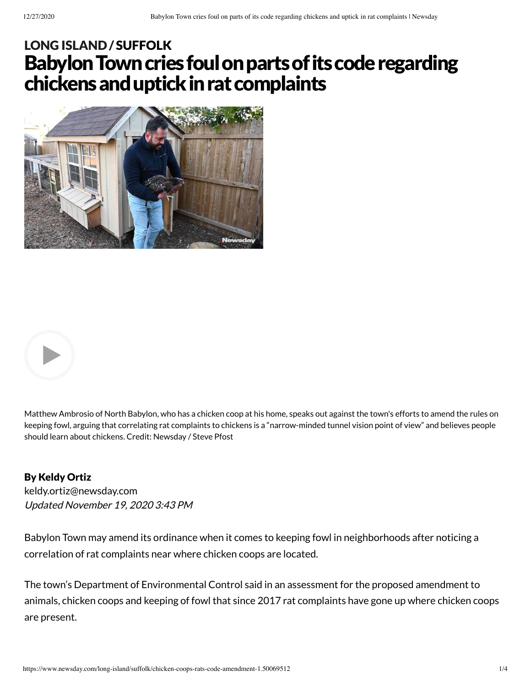# Babylon Town cries foul on parts of its code regarding chickens and uptick in rat complaints LONG [ISLAND](https://www.newsday.com/long-island) / [SUFFOLK](https://www.newsday.com/long-island/suffolk)





Matthew Ambrosio of North Babylon, who has a chicken coop at his home, speaks out against the town's efforts to amend the rules on keeping fowl, arguing that correlating rat complaints to chickens is a "narrow-minded tunnel vision point of view" and believes people should learn about chickens. Credit: Newsday / Steve Pfost

## By Keldy Ortiz

Updated November 19, 2020 3:43 PM [keldy.ortiz@newsday.com](mailto:keldy.ortiz@newsday.com?subject=Babylon%20Town%20cries%20foul%20on%20parts%20of%20its%20code%20regarding%20chickens%20and%20uptick%20in%20rat%20complaints&body=Babylon%20Town%20may%20amend%20its%20ordinance%20when%20it%20comes%20to%20keeping%20fowl%20in%20neighborhoods%20after%20noticing%20a%20correlation%20of%20rat%20complaints%20near%20where%20chicken%20coops%20are%20located.%20The%20town%E2%80%99s%20Department%20of%20Enviro%0D%0Ahttps://www.newsday.com/long-island/suffolk/chicken-coops-rats-code-amendment-1.50069512)

Babylon Town may amend its ordinance when it comes to keeping fowl in neighborhoods after noticing a correlation of rat complaints near where chicken coops are located.

The town's Department of Environmental Control said in an assessment for the proposed amendment to animals, chicken coops and keeping of fowl that since 2017 rat complaints have gone up where chicken coops are present.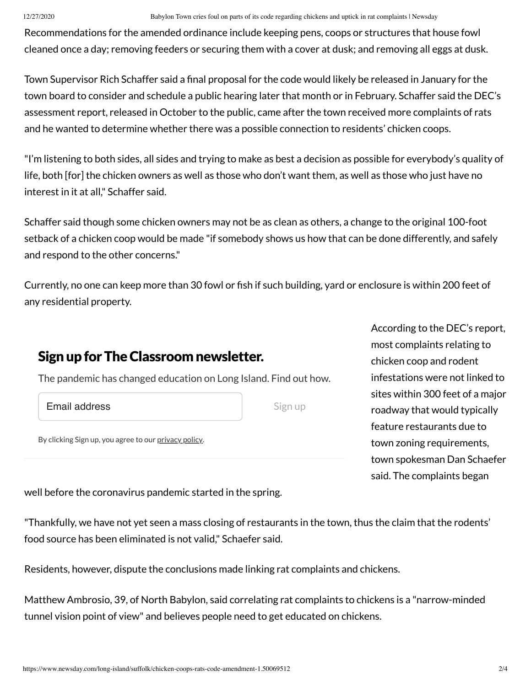Recommendations for the amended ordinance include keeping pens, coops or structures that house fowl cleaned once a day; removing feeders or securing them with a cover at dusk; and removing all eggs at dusk.

Town Supervisor Rich Schaffer said a final proposal for the code would likely be released in January for the town board to consider and schedule a public hearing later that month or in February. Schaffer said the DEC's assessment report, released in October to the public, came after the town received more complaints of rats and he wanted to determine whether there was a possible connection to residents' chicken coops.

"I'm listening to both sides, all sides and trying to make as best a decision as possible for everybody's quality of life, both [for] the chicken owners as well as those who don't want them, as well as those who just have no interest in it at all," Schaffer said.

Schaffer said though some chicken owners may not be as clean as others, a change to the original 100-foot setback of a chicken coop would be made "if somebody shows us how that can be done differently, and safely and respond to the other concerns."

Currently, no one can keep more than 30 fowl or fish if such building, yard or enclosure is within 200 feet of any residential property.

## Sign up for The Classroom newsletter.

The pandemic has changed education on Long Island. Find out how.

Email address

Sign up

By clicking Sign up, you agree to our [privacy](https://www.newsday.com/privacy) policy.

well before the coronavirus pandemic started in the spring.

"Thankfully, we have not yet seen a mass closing of restaurants in the town, thus the claim that the rodents' food source has been eliminated is not valid," Schaefer said.

Residents, however, dispute the conclusions made linking rat complaints and chickens.

Matthew Ambrosio, 39, of North Babylon, said correlating rat complaints to chickens is a "narrow-minded tunnel vision point of view" and believes people need to get educated on chickens.

According to the DEC's report, most complaints relating to chicken coop and rodent infestations were not linked to sites within 300 feet of a major roadway that would typically feature restaurants due to town zoning requirements, town spokesman Dan Schaefer said. The complaints began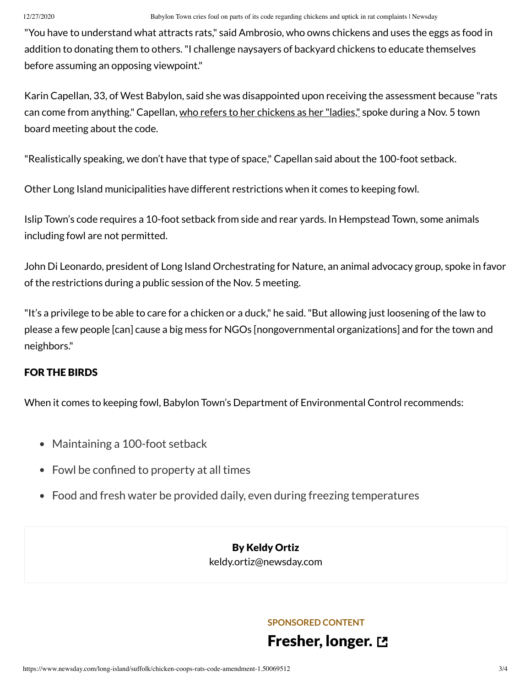"You have to understand what attracts rats," said Ambrosio, who owns chickens and uses the eggs as food in addition to donating them to others."I challenge naysayers of backyard chickens to educate themselves before assuming an opposing viewpoint."

Karin Capellan, 33, of West Babylon, said she was disappointed upon receiving the assessment because "rats can come from anything." Capellan, who refers to her [chickens](https://www.newsday.com/long-island/suffolk/chickens-backyard-amendment-violation-notice-1.33721467) as her "ladies," spoke during a Nov. 5 town board meeting about the code.

"Realistically speaking, we don't have that type of space," Capellan said about the 100-foot setback.

Other Long Island municipalities have different restrictions when it comes to keeping fowl.

Islip Town's code requires a 10-foot setback from side and rear yards. In Hempstead Town, some animals including fowl are not permitted.

John Di Leonardo, president of Long Island Orchestrating for Nature, an animal advocacy group, spoke in favor of the restrictions during a public session of the Nov. 5 meeting.

"It's a privilege to be able to care for a chicken or a duck," he said."But allowing just loosening of the law to please a few people [can] cause a big mess for NGOs [nongovernmental organizations] and for the town and neighbors."

### FOR THE BIRDS

When it comes to keeping fowl, Babylon Town's Department of Environmental Control recommends:

- Maintaining a 100-foot setback
- Fowl be confined to property at all times
- Food and fresh water be provided daily, even during freezing temperatures

By Keldy Ortiz [keldy.ortiz@newsday.com](mailto:keldy.ortiz@newsday.com?subject=Babylon%20Town%20cries%20foul%20on%20parts%20of%20its%20code%20regarding%20chickens%20and%20uptick%20in%20rat%20complaints&body=Babylon%20Town%20may%20amend%20its%20ordinance%20when%20it%20comes%20to%20keeping%20fowl%20in%20neighborhoods%20after%20noticing%20a%20correlation%20of%20rat%20complaints%20near%20where%20chicken%20coops%20are%20located.%20The%20town%E2%80%99s%20Department%20of%20Enviro%0D%0Ahttps://www.newsday.com/long-island/suffolk/chicken-coops-rats-code-amendment-1.50069512)

**SPONSORED CONTENT**

# [Fresher,](https://bttrack.com/Click/Native?data=AFVDvnQNZuQBoKGgyskHG809yfQKJqx7ImJtZCI6eyJjdCI6MywiYnQiOjIsInJzIjowLjYzLCJuYyI6MC45MjU0MzE4NTczNjYzOTYwOTE1MzI4NTUwOTk5LCJpYyI6dHJ1ZSwiaWYiOjAuMjk4NzAwLCJpcyI6ZmFsc2UsImlhIjowLjAsInVzY2MiOjEuMCwiZmN0aSI6MX0sIlR5cGUiOiJOYXRpdmUiLCJQYWdlIjoiaHR0cDovL3d3dy5uZXdzZGF5LmNvbS9sb25nLWlzbGFuZC9zdWZmb2xrL2NoaWNrZW4tY29vcHMtcmF0cy1jb2RlLWFtZW5kbWVudC0xLjUwMDY5NTEyIiwiaXYiOmZhbHNlLCJ0cyI6IjIwMjAtMTItMjdUMDA6MDk6MjUuNjA4Mzk0Mi0wNTowMCIsImNldCI6MSwiYXRpIjoxLCJjbyI6ImE4MWMxOWUxLTJmMjUtNGE5OS04NTA0LTMzZjg2MGJlNzg5ZCIsImlpIjoiMDIzNmVhYTQtM2VlOS00NTEyLTkyNzAtOGQwMmMxZGY5ZTE4IiwiZ2wiOiJmYzZjOGU4YS1kMzk1LTQ5MWMtYWVhNC1hM2E5NDE3ZGY3OTAiLCJpbXUiOmZhbHNlLCJpbyI6MzIzNDIsImNhIjo3MzY5MCwiY3IiOjgwMDg4NSwibGlpIjoyNDAyNzAsImJyaSI6NDM4NDIwLCJjYiI6MjU2MzAsInB1aSI6Mjg2ODU3NywicG4iOiJOZXdzZGF5IiwicHAiOjEzMDksInB0IjowLCJwbCI6MTc4MzQxNjQ1Mywic2kiOjQ4MDU3Nzk0LCJzdGkiOjEsImRpIjozNzMzNSwidXQiOjE2MDkwNDU3NjU2MDIsInB0aSI6MiwiYWRpIjoxLCJjcHRpIjoxLCJtY2hyYyI6WzE5OF0sIm1jeHJjIjpbXSwiaWlhc2UiOmZhbHNlLCJpZ2RwciI6ZmFsc2UsImFpIjp7InRkaWQiOiI3NWE2NjZjZC0wNmQzLTQ5MDUtYjkzOC0wMTQ2ODczZTY4MDMifSwiY2MiOiJ1cyIsInBzdCI6IjExMDAxIiwiY3R5Ijo1MDg2fQ2) longer.